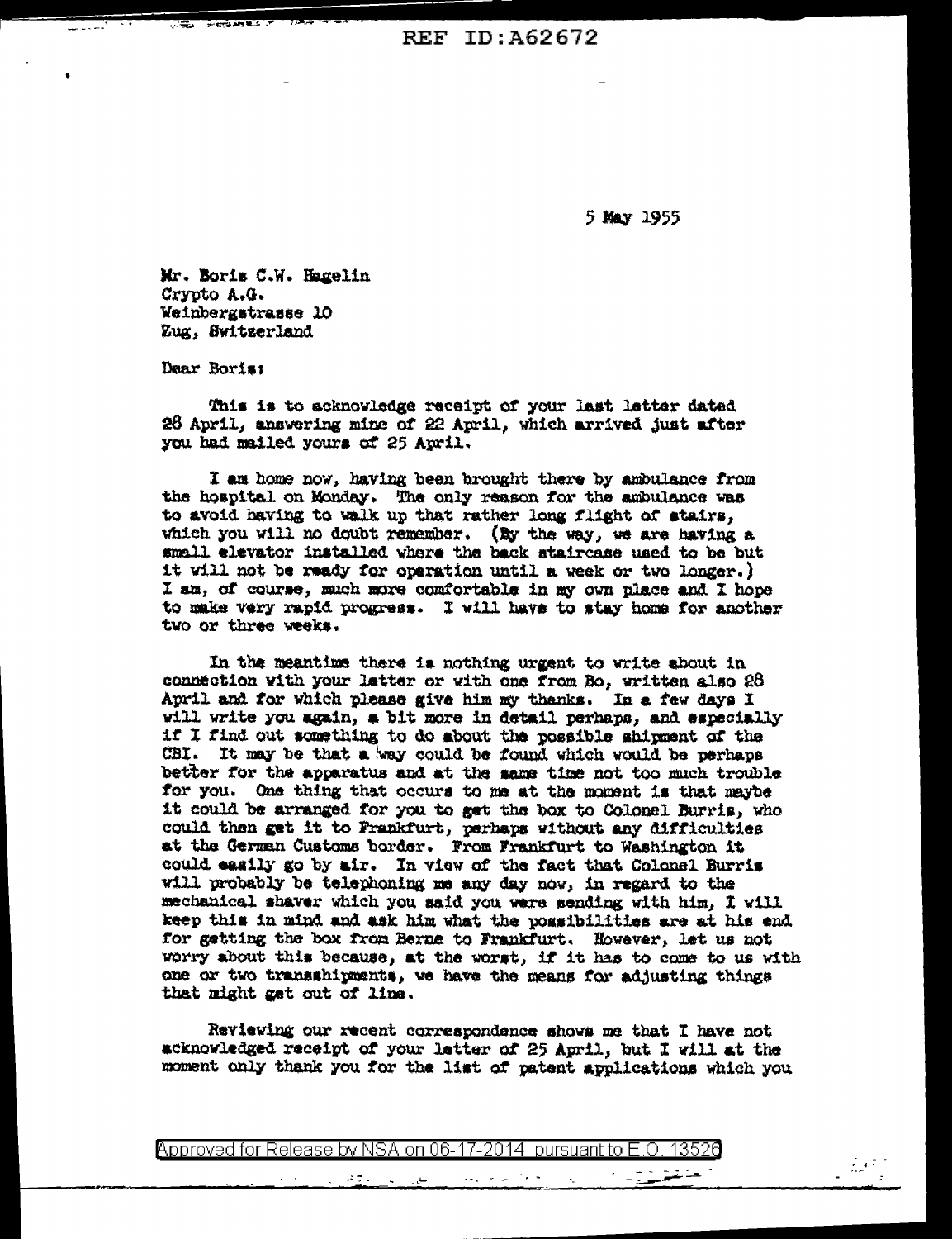**REF ID: A62672** 

5 May 1955

Mr. Boris C.W. Hagelin Crypto A.G. Weinbergstrasse 10 Zug, Switzerland

Dear Boris:

This is to acknowledge receipt of your last letter dated 26 April, answering mine of 22 April, which arrived just after you had mailed yours of 25 April.

I am home now, having been brought there by ambulance from the hospital on Monday. The only reason for the ambulance was to avoid having to walk up that rather long flight of stairs. which you will no doubt remember. (By the way, we are having a small elevator installed where the back staircase used to be but it will not be ready for operation until a week or two longer.) I am, of course, much more comfortable in my own place and I hope to make very rapid progress. I will have to stay home for another two or three weeks.

In the meantime there is nothing urgent to write shout in connection with your letter or with one from Bo, written also 28 April and for which please give him my thanks. In a few days I will write you again, a bit more in detail perhaps, and especially if I find out something to do about the possible shipment of the CBI. It may be that a way could be found which would be perhaps better for the apparatus and at the same time not too much trouble for you. One thing that occurs to me at the moment is that maybe it could be arranged for you to get the box to Colonel Burris, who could then get it to Frankfurt, perhaps without any difficulties at the German Customs border. From Frankfurt to Washington it could easily go by air. In view of the fact that Colonel Burris will probably be telephoning me any day now, in regard to the mechanical shaver which you said you were sending with him, I will keep this in mind and ask him what the possibilities are at his end for getting the box from Berne to Frankfurt. However, let us not worry about this because, at the worst, if it has to come to us with one or two transshipments, we have the means for adjusting things that might get out of line.

Reviewing our recent correspondence shows me that I have not acknowledged receipt of your letter of 25 April, but I will at the moment only thank you for the list of patent applications which you

Approved for Release by NSA on 06-17-2014 pursuant to E.O.

التراجي وللترابط والمورد

تهيبة